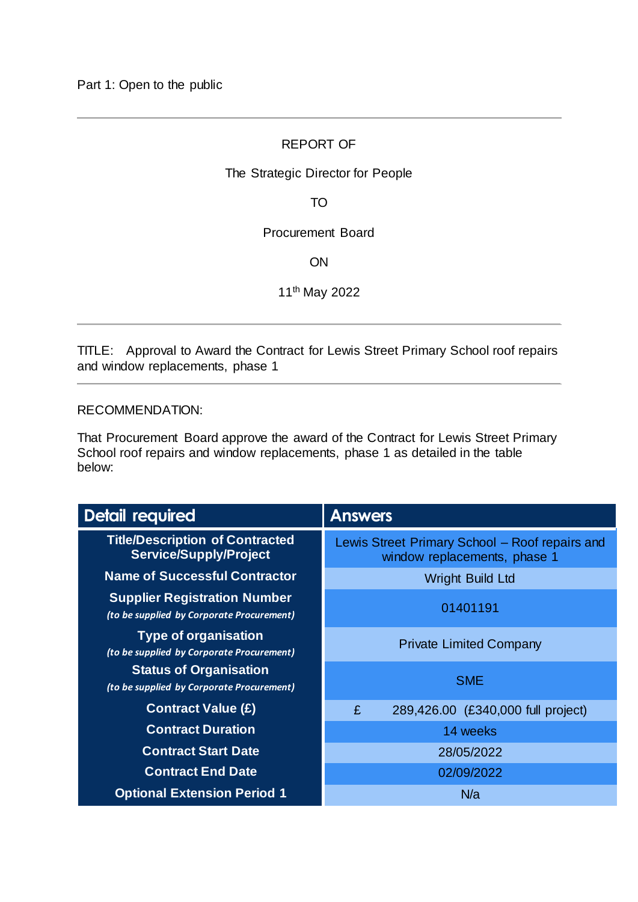# REPORT OF

## The Strategic Director for People

TO

Procurement Board

**ON** 

11th May 2022

TITLE: Approval to Award the Contract for Lewis Street Primary School roof repairs and window replacements, phase 1

#### RECOMMENDATION:

That Procurement Board approve the award of the Contract for Lewis Street Primary School roof repairs and window replacements, phase 1 as detailed in the table below:

| <b>Detail required</b>                                                           | <b>Answers</b>                                                                 |  |  |  |
|----------------------------------------------------------------------------------|--------------------------------------------------------------------------------|--|--|--|
| <b>Title/Description of Contracted</b><br><b>Service/Supply/Project</b>          | Lewis Street Primary School - Roof repairs and<br>window replacements, phase 1 |  |  |  |
| <b>Name of Successful Contractor</b>                                             | <b>Wright Build Ltd</b>                                                        |  |  |  |
| <b>Supplier Registration Number</b><br>(to be supplied by Corporate Procurement) | 01401191                                                                       |  |  |  |
| <b>Type of organisation</b><br>(to be supplied by Corporate Procurement)         | <b>Private Limited Company</b>                                                 |  |  |  |
| <b>Status of Organisation</b><br>(to be supplied by Corporate Procurement)       | <b>SME</b>                                                                     |  |  |  |
| <b>Contract Value (£)</b>                                                        | 289,426.00 (£340,000 full project)<br>£                                        |  |  |  |
| <b>Contract Duration</b>                                                         | 14 weeks                                                                       |  |  |  |
| <b>Contract Start Date</b>                                                       | 28/05/2022                                                                     |  |  |  |
| <b>Contract End Date</b>                                                         | 02/09/2022                                                                     |  |  |  |
| <b>Optional Extension Period 1</b>                                               | N/a                                                                            |  |  |  |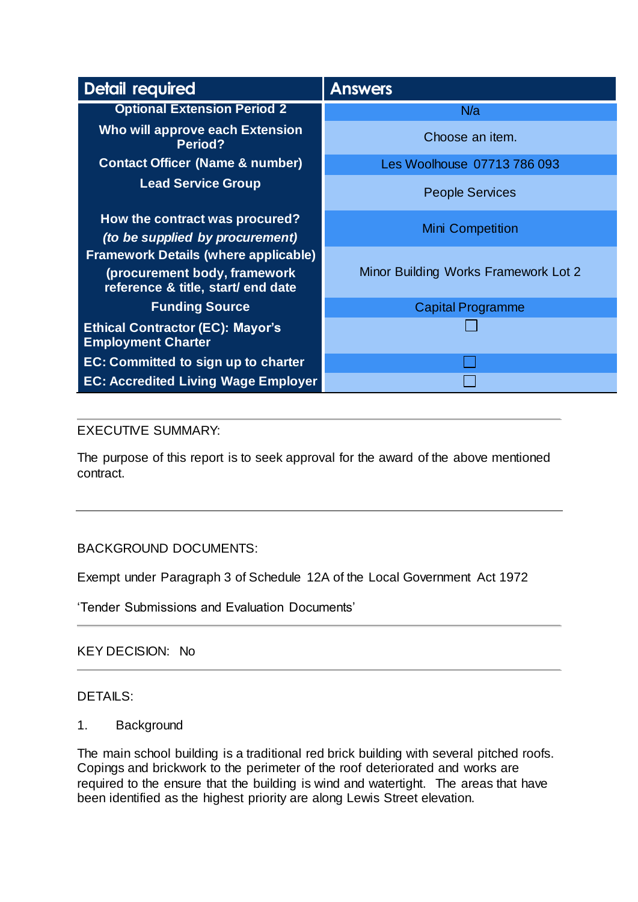| Detail required                                                                                                   | <b>Answers</b>                       |  |  |
|-------------------------------------------------------------------------------------------------------------------|--------------------------------------|--|--|
| <b>Optional Extension Period 2</b>                                                                                | N/a                                  |  |  |
| Who will approve each Extension<br>Period?                                                                        | Choose an item.                      |  |  |
| <b>Contact Officer (Name &amp; number)</b>                                                                        | Les Woolhouse 07713 786 093          |  |  |
| <b>Lead Service Group</b>                                                                                         | <b>People Services</b>               |  |  |
| How the contract was procured?<br>(to be supplied by procurement)                                                 | <b>Mini Competition</b>              |  |  |
| <b>Framework Details (where applicable)</b><br>(procurement body, framework<br>reference & title, start/ end date | Minor Building Works Framework Lot 2 |  |  |
| <b>Funding Source</b>                                                                                             | <b>Capital Programme</b>             |  |  |
| <b>Ethical Contractor (EC): Mayor's</b><br><b>Employment Charter</b>                                              |                                      |  |  |
| EC: Committed to sign up to charter                                                                               |                                      |  |  |
| <b>EC: Accredited Living Wage Employer</b>                                                                        |                                      |  |  |

# EXECUTIVE SUMMARY:

The purpose of this report is to seek approval for the award of the above mentioned contract.

## BACKGROUND DOCUMENTS:

Exempt under Paragraph 3 of Schedule 12A of the Local Government Act 1972

'Tender Submissions and Evaluation Documents'

# KEY DECISION: No

## DETAILS:

## 1. Background

The main school building is a traditional red brick building with several pitched roofs. Copings and brickwork to the perimeter of the roof deteriorated and works are required to the ensure that the building is wind and watertight. The areas that have been identified as the highest priority are along Lewis Street elevation.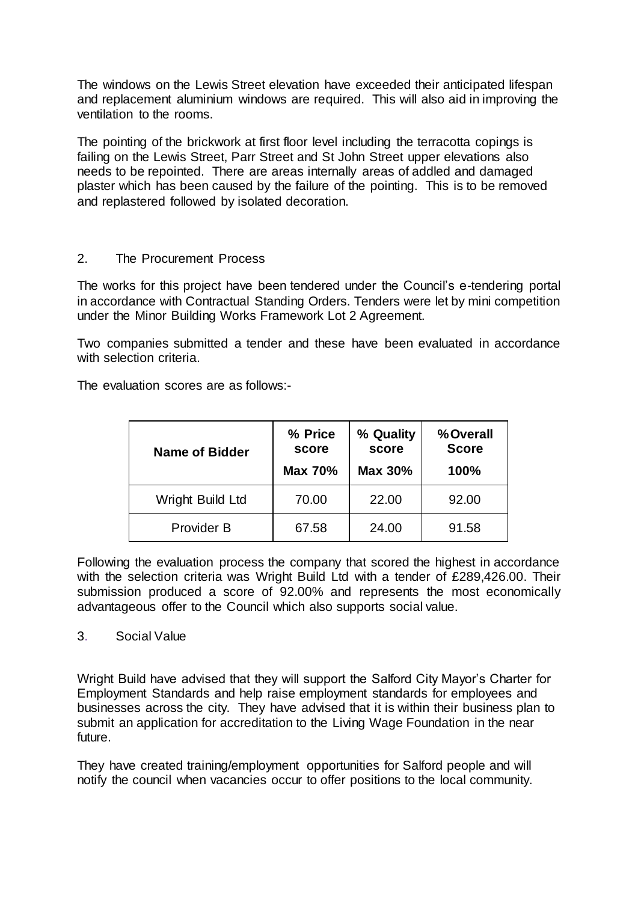The windows on the Lewis Street elevation have exceeded their anticipated lifespan and replacement aluminium windows are required. This will also aid in improving the ventilation to the rooms.

The pointing of the brickwork at first floor level including the terracotta copings is failing on the Lewis Street, Parr Street and St John Street upper elevations also needs to be repointed. There are areas internally areas of addled and damaged plaster which has been caused by the failure of the pointing. This is to be removed and replastered followed by isolated decoration.

## 2. The Procurement Process

The works for this project have been tendered under the Council's e-tendering portal in accordance with Contractual Standing Orders. Tenders were let by mini competition under the Minor Building Works Framework Lot 2 Agreement.

Two companies submitted a tender and these have been evaluated in accordance with selection criteria.

The evaluation scores are as follows:-

| <b>Name of Bidder</b> | % Price<br>score<br><b>Max 70%</b> | % Quality<br>score<br><b>Max 30%</b> | %Overall<br><b>Score</b><br>100% |
|-----------------------|------------------------------------|--------------------------------------|----------------------------------|
| Wright Build Ltd      | 70.00                              | 22.00                                | 92.00                            |
| Provider B            | 67.58                              | 24.00                                | 91.58                            |

Following the evaluation process the company that scored the highest in accordance with the selection criteria was Wright Build Ltd with a tender of £289,426.00. Their submission produced a score of 92.00% and represents the most economically advantageous offer to the Council which also supports social value.

## 3. Social Value

Wright Build have advised that they will support the Salford City Mayor's Charter for Employment Standards and help raise employment standards for employees and businesses across the city. They have advised that it is within their business plan to submit an application for accreditation to the Living Wage Foundation in the near future.

They have created training/employment opportunities for Salford people and will notify the council when vacancies occur to offer positions to the local community.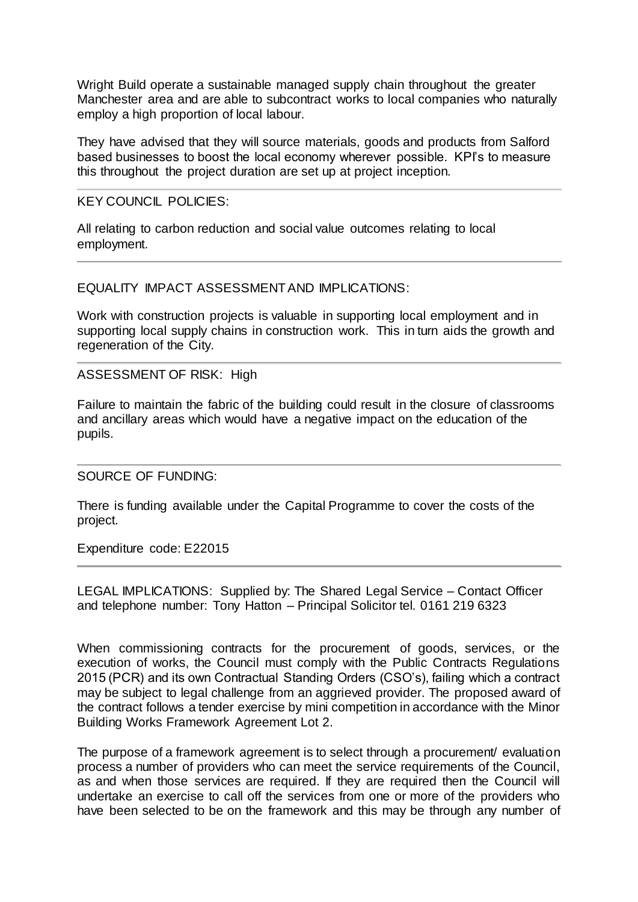Wright Build operate a sustainable managed supply chain throughout the greater Manchester area and are able to subcontract works to local companies who naturally employ a high proportion of local labour.

They have advised that they will source materials, goods and products from Salford based businesses to boost the local economy wherever possible. KPI's to measure this throughout the project duration are set up at project inception.

#### KEY COUNCIL POLICIES:

All relating to carbon reduction and social value outcomes relating to local employment.

#### EQUALITY IMPACT ASSESSMENT AND IMPLICATIONS:

Work with construction projects is valuable in supporting local employment and in supporting local supply chains in construction work. This in turn aids the growth and regeneration of the City.

#### ASSESSMENT OF RISK: High

Failure to maintain the fabric of the building could result in the closure of classrooms and ancillary areas which would have a negative impact on the education of the pupils.

## SOURCE OF FUNDING:

There is funding available under the Capital Programme to cover the costs of the project.

Expenditure code: E22015

LEGAL IMPLICATIONS: Supplied by: The Shared Legal Service – Contact Officer and telephone number: Tony Hatton – Principal Solicitor tel. 0161 219 6323

When commissioning contracts for the procurement of goods, services, or the execution of works, the Council must comply with the Public Contracts Regulations 2015 (PCR) and its own Contractual Standing Orders (CSO's), failing which a contract may be subject to legal challenge from an aggrieved provider. The proposed award of the contract follows a tender exercise by mini competition in accordance with the Minor Building Works Framework Agreement Lot 2.

The purpose of a framework agreement is to select through a procurement/ evaluation process a number of providers who can meet the service requirements of the Council, as and when those services are required. If they are required then the Council will undertake an exercise to call off the services from one or more of the providers who have been selected to be on the framework and this may be through any number of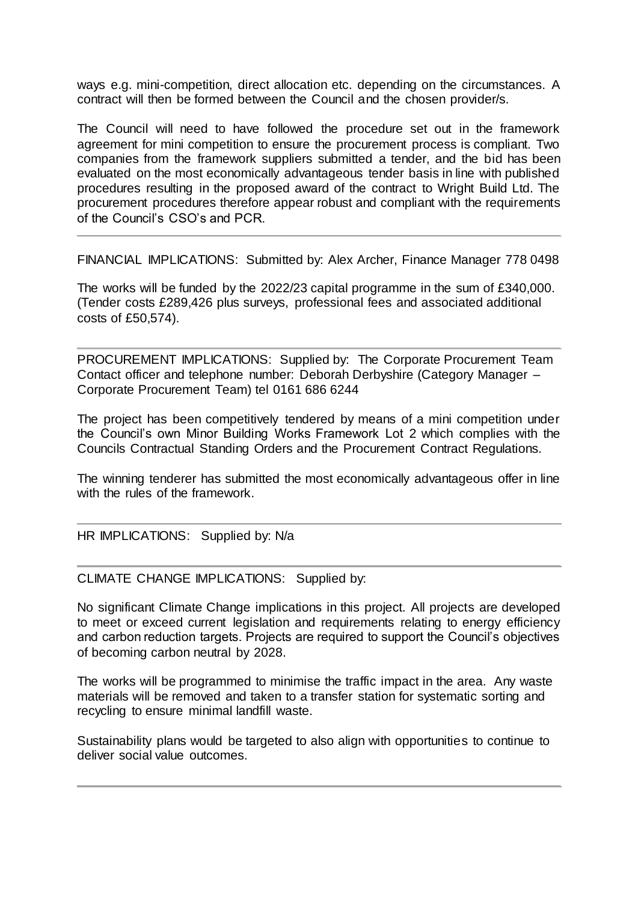ways e.g. mini-competition, direct allocation etc. depending on the circumstances. A contract will then be formed between the Council and the chosen provider/s.

The Council will need to have followed the procedure set out in the framework agreement for mini competition to ensure the procurement process is compliant. Two companies from the framework suppliers submitted a tender, and the bid has been evaluated on the most economically advantageous tender basis in line with published procedures resulting in the proposed award of the contract to Wright Build Ltd. The procurement procedures therefore appear robust and compliant with the requirements of the Council's CSO's and PCR.

FINANCIAL IMPLICATIONS: Submitted by: Alex Archer, Finance Manager 778 0498

The works will be funded by the 2022/23 capital programme in the sum of £340,000. (Tender costs £289,426 plus surveys, professional fees and associated additional costs of £50,574).

PROCUREMENT IMPLICATIONS: Supplied by: The Corporate Procurement Team Contact officer and telephone number: Deborah Derbyshire (Category Manager – Corporate Procurement Team) tel 0161 686 6244

The project has been competitively tendered by means of a mini competition under the Council's own Minor Building Works Framework Lot 2 which complies with the Councils Contractual Standing Orders and the Procurement Contract Regulations.

The winning tenderer has submitted the most economically advantageous offer in line with the rules of the framework.

HR IMPLICATIONS: Supplied by: N/a

CLIMATE CHANGE IMPLICATIONS: Supplied by:

No significant Climate Change implications in this project. All projects are developed to meet or exceed current legislation and requirements relating to energy efficiency and carbon reduction targets. Projects are required to support the Council's objectives of becoming carbon neutral by 2028.

The works will be programmed to minimise the traffic impact in the area. Any waste materials will be removed and taken to a transfer station for systematic sorting and recycling to ensure minimal landfill waste.

Sustainability plans would be targeted to also align with opportunities to continue to deliver social value outcomes.